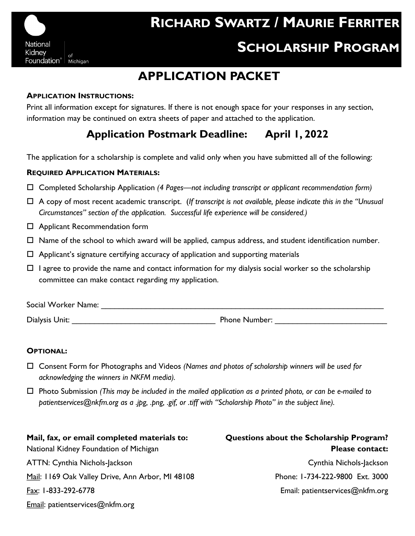

# **APPLICATION PACKET**

#### **APPLICATION INSTRUCTIONS:**

Print all information except for signatures. If there is not enough space for your responses in any section, information may be continued on extra sheets of paper and attached to the application.

## **Application Postmark Deadline: April 1, 2022**

The application for a scholarship is complete and valid only when you have submitted all of the following:

#### **REQUIRED APPLICATION MATERIALS:**

- Completed Scholarship Application *(4 Pages—not including transcript or applicant recommendation form)*
- A copy of most recent academic transcript. (*If transcript is not available, please indicate this in the "Unusual Circumstances" section of the application. Successful life experience will be considered.)*
- Applicant Recommendation form
- $\Box$  Name of the school to which award will be applied, campus address, and student identification number.
- $\Box$  Applicant's signature certifying accuracy of application and supporting materials
- $\Box$  I agree to provide the name and contact information for my dialysis social worker so the scholarship committee can make contact regarding my application.

| Social Worker Name: |               |
|---------------------|---------------|
| Dialysis Unit:      | Phone Number: |

#### **OPTIONAL:**

- Consent Form for Photographs and Videos *(Names and photos of scholarship winners will be used for acknowledging the winners in NKFM media).*
- Photo Submission *(This may be included in the mailed application as a printed photo, or can be e-mailed to patientservices@nkfm.org as a .jpg, .png, .gif, or .tiff with "Scholarship Photo" in the subject line).*

**Mail, fax, or email completed materials to:** National Kidney Foundation of Michigan ATTN: Cynthia Nichols-Jackson Mail: 1169 Oak Valley Drive, Ann Arbor, MI 48108 Fax: 1-833-292-6778 Email: patientservices@nkfm.org

**Questions about the Scholarship Program? Please contact:**  Cynthia Nichols-Jackson Phone: 1-734-222-9800 Ext. 3000 Email: patientservices@nkfm.org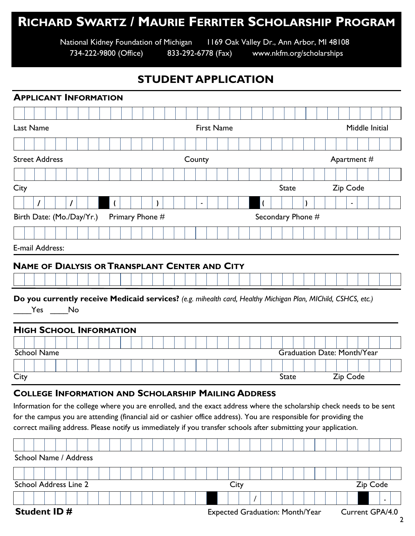# **RICHARD SWARTZ / MAURIE FERRITER SCHOLARSHIP PROGRAM**

National Kidney Foundation of Michigan 1169 Oak Valley Dr., Ann Arbor, MI 48108

734-222-9800 (Office) 833-292-6778 (Fax) www.nkfm.org/scholarships

### **STUDENT APPLICATION**

|                       |                                                                                                                         |                              |  |  |  |  |  |  | <b>APPLICANT INFORMATION</b>   |  |  |  |  |  |  |  |                                                                                                                                                                                                                                                                                                                                                                                                                               |  |      |  |  |              |                                    |  |  |             |  |          |  |
|-----------------------|-------------------------------------------------------------------------------------------------------------------------|------------------------------|--|--|--|--|--|--|--------------------------------|--|--|--|--|--|--|--|-------------------------------------------------------------------------------------------------------------------------------------------------------------------------------------------------------------------------------------------------------------------------------------------------------------------------------------------------------------------------------------------------------------------------------|--|------|--|--|--------------|------------------------------------|--|--|-------------|--|----------|--|
|                       |                                                                                                                         |                              |  |  |  |  |  |  |                                |  |  |  |  |  |  |  |                                                                                                                                                                                                                                                                                                                                                                                                                               |  |      |  |  |              |                                    |  |  |             |  |          |  |
|                       | <b>First Name</b><br>Last Name<br>Middle Initial                                                                        |                              |  |  |  |  |  |  |                                |  |  |  |  |  |  |  |                                                                                                                                                                                                                                                                                                                                                                                                                               |  |      |  |  |              |                                    |  |  |             |  |          |  |
|                       |                                                                                                                         |                              |  |  |  |  |  |  |                                |  |  |  |  |  |  |  |                                                                                                                                                                                                                                                                                                                                                                                                                               |  |      |  |  |              |                                    |  |  |             |  |          |  |
| <b>Street Address</b> |                                                                                                                         |                              |  |  |  |  |  |  |                                |  |  |  |  |  |  |  | County                                                                                                                                                                                                                                                                                                                                                                                                                        |  |      |  |  |              |                                    |  |  | Apartment # |  |          |  |
|                       |                                                                                                                         |                              |  |  |  |  |  |  |                                |  |  |  |  |  |  |  |                                                                                                                                                                                                                                                                                                                                                                                                                               |  |      |  |  |              |                                    |  |  |             |  |          |  |
| City                  |                                                                                                                         |                              |  |  |  |  |  |  |                                |  |  |  |  |  |  |  |                                                                                                                                                                                                                                                                                                                                                                                                                               |  |      |  |  | <b>State</b> |                                    |  |  | Zip Code    |  |          |  |
|                       |                                                                                                                         |                              |  |  |  |  |  |  |                                |  |  |  |  |  |  |  | $\blacksquare$                                                                                                                                                                                                                                                                                                                                                                                                                |  |      |  |  |              |                                    |  |  |             |  |          |  |
|                       | Birth Date: (Mo./Day/Yr.)<br>Primary Phone #<br>Secondary Phone #                                                       |                              |  |  |  |  |  |  |                                |  |  |  |  |  |  |  |                                                                                                                                                                                                                                                                                                                                                                                                                               |  |      |  |  |              |                                    |  |  |             |  |          |  |
|                       |                                                                                                                         |                              |  |  |  |  |  |  |                                |  |  |  |  |  |  |  |                                                                                                                                                                                                                                                                                                                                                                                                                               |  |      |  |  |              |                                    |  |  |             |  |          |  |
| E-mail Address:       |                                                                                                                         |                              |  |  |  |  |  |  |                                |  |  |  |  |  |  |  |                                                                                                                                                                                                                                                                                                                                                                                                                               |  |      |  |  |              |                                    |  |  |             |  |          |  |
|                       |                                                                                                                         |                              |  |  |  |  |  |  |                                |  |  |  |  |  |  |  | <b>NAME OF DIALYSIS OR TRANSPLANT CENTER AND CITY</b>                                                                                                                                                                                                                                                                                                                                                                         |  |      |  |  |              |                                    |  |  |             |  |          |  |
|                       |                                                                                                                         |                              |  |  |  |  |  |  |                                |  |  |  |  |  |  |  |                                                                                                                                                                                                                                                                                                                                                                                                                               |  |      |  |  |              |                                    |  |  |             |  |          |  |
|                       |                                                                                                                         |                              |  |  |  |  |  |  |                                |  |  |  |  |  |  |  |                                                                                                                                                                                                                                                                                                                                                                                                                               |  |      |  |  |              |                                    |  |  |             |  |          |  |
|                       | Do you currently receive Medicaid services? (e.g. mihealth card, Healthy Michigan Plan, MIChild, CSHCS, etc.)<br>Yes No |                              |  |  |  |  |  |  |                                |  |  |  |  |  |  |  |                                                                                                                                                                                                                                                                                                                                                                                                                               |  |      |  |  |              |                                    |  |  |             |  |          |  |
|                       |                                                                                                                         |                              |  |  |  |  |  |  |                                |  |  |  |  |  |  |  |                                                                                                                                                                                                                                                                                                                                                                                                                               |  |      |  |  |              |                                    |  |  |             |  |          |  |
|                       |                                                                                                                         |                              |  |  |  |  |  |  | <b>HIGH SCHOOL INFORMATION</b> |  |  |  |  |  |  |  |                                                                                                                                                                                                                                                                                                                                                                                                                               |  |      |  |  |              |                                    |  |  |             |  |          |  |
|                       |                                                                                                                         | <b>School Name</b>           |  |  |  |  |  |  |                                |  |  |  |  |  |  |  |                                                                                                                                                                                                                                                                                                                                                                                                                               |  |      |  |  |              | <b>Graduation Date: Month/Year</b> |  |  |             |  |          |  |
|                       |                                                                                                                         |                              |  |  |  |  |  |  |                                |  |  |  |  |  |  |  |                                                                                                                                                                                                                                                                                                                                                                                                                               |  |      |  |  |              |                                    |  |  |             |  |          |  |
| City                  |                                                                                                                         |                              |  |  |  |  |  |  |                                |  |  |  |  |  |  |  |                                                                                                                                                                                                                                                                                                                                                                                                                               |  |      |  |  | <b>State</b> |                                    |  |  | Zip Code    |  |          |  |
|                       |                                                                                                                         |                              |  |  |  |  |  |  |                                |  |  |  |  |  |  |  | <b>COLLEGE INFORMATION AND SCHOLARSHIP MAILING ADDRESS</b><br>Information for the college where you are enrolled, and the exact address where the scholarship check needs to be sent<br>for the campus you are attending (financial aid or cashier office address). You are responsible for providing the<br>correct mailing address. Please notify us immediately if you transfer schools after submitting your application. |  |      |  |  |              |                                    |  |  |             |  |          |  |
|                       |                                                                                                                         |                              |  |  |  |  |  |  |                                |  |  |  |  |  |  |  |                                                                                                                                                                                                                                                                                                                                                                                                                               |  |      |  |  |              |                                    |  |  |             |  |          |  |
|                       |                                                                                                                         | School Name / Address        |  |  |  |  |  |  |                                |  |  |  |  |  |  |  |                                                                                                                                                                                                                                                                                                                                                                                                                               |  |      |  |  |              |                                    |  |  |             |  |          |  |
|                       |                                                                                                                         |                              |  |  |  |  |  |  |                                |  |  |  |  |  |  |  |                                                                                                                                                                                                                                                                                                                                                                                                                               |  |      |  |  |              |                                    |  |  |             |  |          |  |
|                       |                                                                                                                         | <b>School Address Line 2</b> |  |  |  |  |  |  |                                |  |  |  |  |  |  |  |                                                                                                                                                                                                                                                                                                                                                                                                                               |  | City |  |  |              |                                    |  |  |             |  | Zip Code |  |
|                       |                                                                                                                         |                              |  |  |  |  |  |  |                                |  |  |  |  |  |  |  |                                                                                                                                                                                                                                                                                                                                                                                                                               |  |      |  |  |              |                                    |  |  |             |  |          |  |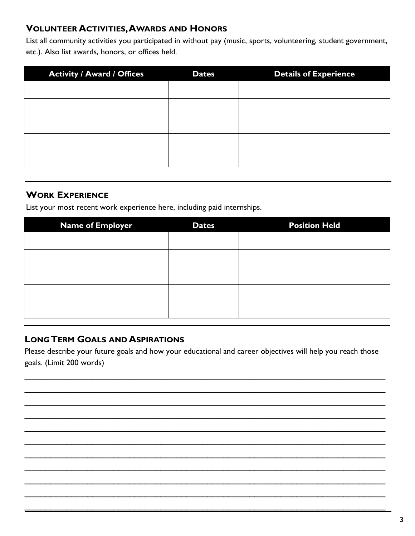#### **VOLUNTEER ACTIVITIES, AWARDS AND HONORS**

List all community activities you participated in without pay (music, sports, volunteering, student government, etc.). Also list awards, honors, or offices held.

| <b>Activity / Award / Offices</b> | <b>Dates</b> | <b>Details of Experience</b> |
|-----------------------------------|--------------|------------------------------|
|                                   |              |                              |
|                                   |              |                              |
|                                   |              |                              |
|                                   |              |                              |
|                                   |              |                              |
|                                   |              |                              |

#### **WORK EXPERIENCE**

List your most recent work experience here, including paid internships.

| <b>Dates</b> | <b>Position Held</b> |
|--------------|----------------------|
|              |                      |
|              |                      |
|              |                      |
|              |                      |
|              |                      |
|              |                      |
|              |                      |

#### **LONG TERM GOALS AND ASPIRATIONS**

Please describe your future goals and how your educational and career objectives will help you reach those goals. (Limit 200 words)

 $\mathcal{L}_\text{max}$  , and the contribution of the contribution of the contribution of the contribution of the contribution of the contribution of the contribution of the contribution of the contribution of the contribution of t  $\mathcal{L}_\text{max}$  , and the contribution of the contribution of the contribution of the contribution of the contribution of the contribution of the contribution of the contribution of the contribution of the contribution of t  $\mathcal{L}_\text{max}$  , and the contribution of the contribution of the contribution of the contribution of the contribution of the contribution of the contribution of the contribution of the contribution of the contribution of t  $\mathcal{L}_\text{max}$  , and the contribution of the contribution of the contribution of the contribution of the contribution of the contribution of the contribution of the contribution of the contribution of the contribution of t  $\mathcal{L}_\text{max}$  , and the contribution of the contribution of the contribution of the contribution of the contribution of the contribution of the contribution of the contribution of the contribution of the contribution of t  $\_$  $\mathcal{L}_\text{max}$  , and the contribution of the contribution of the contribution of the contribution of the contribution of the contribution of the contribution of the contribution of the contribution of the contribution of t  $\_$  $\mathcal{L}_\text{max}$  , and the contribution of the contribution of the contribution of the contribution of the contribution of the contribution of the contribution of the contribution of the contribution of the contribution of t  $\mathcal{L}_\text{max}$  , and the contribution of the contribution of the contribution of the contribution of the contribution of the contribution of the contribution of the contribution of the contribution of the contribution of t  $\mathcal{L}_\text{max}$  , and the contribution of the contribution of the contribution of the contribution of the contribution of the contribution of the contribution of the contribution of the contribution of the contribution of t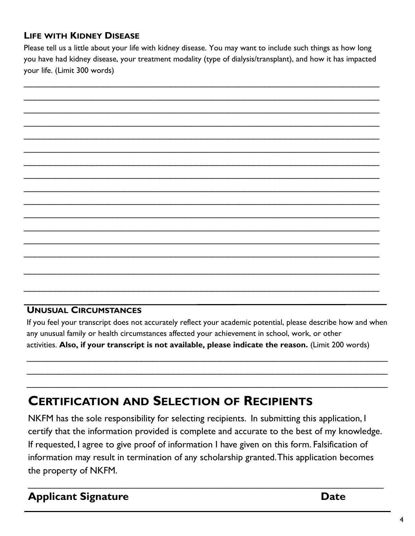## **LIFE WITH KIDNEY DISEASE**

Please tell us a little about your life with kidney disease. You may want to include such things as how long you have had kidney disease, your treatment modality (type of dialysis/transplant), and how it has impacted your life. (Limit 300 words)

 $\mathcal{L}_\text{max}$  , and the contribution of the contribution of the contribution of the contribution of the contribution of the contribution of the contribution of the contribution of the contribution of the contribution of t  $\mathcal{L}_\text{max}$  , and the contract of the contract of the contract of the contract of the contract of the contract of the contract of the contract of the contract of the contract of the contract of the contract of the contr  $\mathcal{L}_\text{max}$  , and the contribution of the contribution of the contribution of the contribution of the contribution of the contribution of the contribution of the contribution of the contribution of the contribution of t  $\mathcal{L}_\text{max}$  , and the contribution of the contribution of the contribution of the contribution of the contribution of the contribution of the contribution of the contribution of the contribution of the contribution of t  $\mathcal{L}_\text{max}$  , and the contribution of the contribution of the contribution of the contribution of the contribution of the contribution of the contribution of the contribution of the contribution of the contribution of t  $\mathcal{L}_\text{max}$  , and the contribution of the contribution of the contribution of the contribution of the contribution of the contribution of the contribution of the contribution of the contribution of the contribution of t  $\mathcal{L}_\text{max}$  , and the contribution of the contribution of the contribution of the contribution of the contribution of the contribution of the contribution of the contribution of the contribution of the contribution of t  $\mathcal{L}_\text{max}$  , and the contribution of the contribution of the contribution of the contribution of the contribution of the contribution of the contribution of the contribution of the contribution of the contribution of t  $\mathcal{L}_\text{max}$  , and the contribution of the contribution of the contribution of the contribution of the contribution of the contribution of the contribution of the contribution of the contribution of the contribution of t  $\mathcal{L}_\text{max}$  , and the contribution of the contribution of the contribution of the contribution of the contribution of the contribution of the contribution of the contribution of the contribution of the contribution of t  $\overline{\phantom{a}}$  , and the contribution of the contribution of the contribution of the contribution of the contribution of the contribution of the contribution of the contribution of the contribution of the contribution of the  $\mathcal{L}_\text{max}$  , and the contribution of the contribution of the contribution of the contribution of the contribution of the contribution of the contribution of the contribution of the contribution of the contribution of t  $\overline{\phantom{a}}$  , and the contribution of the contribution of the contribution of the contribution of the contribution of the contribution of the contribution of the contribution of the contribution of the contribution of the  $\mathcal{L}_\text{max}$  , and the contribution of the contribution of the contribution of the contribution of the contribution of the contribution of the contribution of the contribution of the contribution of the contribution of t

### **UNUSUAL CIRCUMSTANCES**

If you feel your transcript does not accurately reflect your academic potential, please describe how and when any unusual family or health circumstances affected your achievement in school, work, or other activities. **Also, if your transcript is not available, please indicate the reason.** (Limit 200 words)

 $\_$  $\mathcal{L}_\mathcal{L} = \{ \mathcal{L}_\mathcal{L} = \{ \mathcal{L}_\mathcal{L} = \{ \mathcal{L}_\mathcal{L} = \{ \mathcal{L}_\mathcal{L} = \{ \mathcal{L}_\mathcal{L} = \{ \mathcal{L}_\mathcal{L} = \{ \mathcal{L}_\mathcal{L} = \{ \mathcal{L}_\mathcal{L} = \{ \mathcal{L}_\mathcal{L} = \{ \mathcal{L}_\mathcal{L} = \{ \mathcal{L}_\mathcal{L} = \{ \mathcal{L}_\mathcal{L} = \{ \mathcal{L}_\mathcal{L} = \{ \mathcal{L}_\mathcal{$  $\_$ 

 $\mathcal{L}_\text{max}$  , and the contract of the contract of the contract of the contract of the contract of the contract of the contract of the contract of the contract of the contract of the contract of the contract of the contr

 $\mathcal{L}_\text{max}$  , and the contribution of the contribution of the contribution of the contribution of the contribution of the contribution of the contribution of the contribution of the contribution of the contribution of t

# **CERTIFICATION AND SELECTION OF RECIPIENTS**

NKFM has the sole responsibility for selecting recipients. In submitting this application, I certify that the information provided is complete and accurate to the best of my knowledge. If requested, I agree to give proof of information I have given on this form. Falsification of information may result in termination of any scholarship granted. This application becomes the property of NKFM.

 $\mathcal{L}_\text{max}$  , and the contribution of the contribution of the contribution of the contribution of the contribution of the contribution of the contribution of the contribution of the contribution of the contribution of t

**Applicant Signature Date**